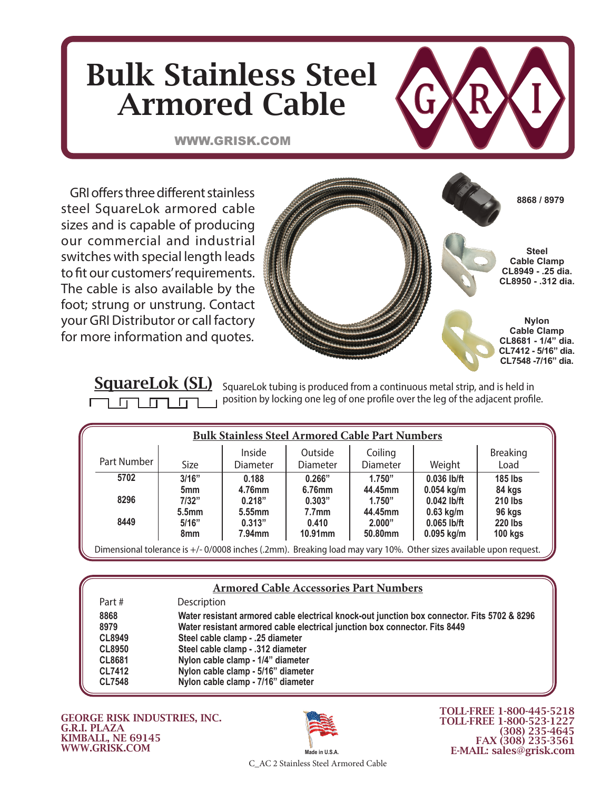## Bulk Stainless Steel Armored Cable

WWW.GRISK.COM



GRI offers three different stainless steel SquareLok armored cable sizes and is capable of producing our commercial and industrial switches with special length leads to fit our customers' requirements. The cable is also available by the foot; strung or unstrung. Contact your GRI Distributor or call factory for more information and quotes.



SquareLok (SL) SquareLok tubing is produced from a continuous metal strip, and is held in position by locking one leg of one profile over the leg of the adjacent profile. ח ו

|             |                                               | <b>Bulk Stainless Steel Armored Cable Part Numbers</b> |                                       |                              |                                              |                                  |
|-------------|-----------------------------------------------|--------------------------------------------------------|---------------------------------------|------------------------------|----------------------------------------------|----------------------------------|
| Part Number | Size                                          | Inside<br><b>Diameter</b>                              | Outside<br>Diameter                   | Coiling<br>Diameter          | Weight                                       | <b>Breaking</b><br>Load          |
| 5702        | 3/16"                                         | 0.188                                                  | 0.266"                                | 1.750"                       | 0.036 lb/ft                                  | <b>185 lbs</b>                   |
| 8296        | 5 <sub>mm</sub><br>7/32"<br>5.5 <sub>mm</sub> | 4.76mm<br>0.218"<br>5.55mm                             | 6.76mm<br>0.303"<br>7.7 <sub>mm</sub> | 44.45mm<br>1.750"<br>44.45mm | $0.054$ kg/m<br>$0.042$ lb/ft<br>$0.63$ kg/m | 84 kgs<br>210 lbs<br>96 kgs      |
| 8449        | 5/16"<br>8mm                                  | 0.313"<br>$7.94$ mm                                    | 0.410<br>10.91mm                      | 2.000"<br>50.80mm            | $0.065$ lb/ft<br>$0.095$ kg/m                | <b>220 lbs</b><br><b>100 kgs</b> |

| <b>Armored Cable Accessories Part Numbers</b> |                                                                                             |  |  |  |
|-----------------------------------------------|---------------------------------------------------------------------------------------------|--|--|--|
| Part#                                         | Description                                                                                 |  |  |  |
| 8868                                          | Water resistant armored cable electrical knock-out junction box connector. Fits 5702 & 8296 |  |  |  |
| 8979                                          | Water resistant armored cable electrical junction box connector. Fits 8449                  |  |  |  |
| <b>CL8949</b>                                 | Steel cable clamp - .25 diameter                                                            |  |  |  |
| <b>CL8950</b>                                 | Steel cable clamp - .312 diameter                                                           |  |  |  |
| <b>CL8681</b>                                 | Nylon cable clamp - 1/4" diameter                                                           |  |  |  |
| <b>CL7412</b>                                 | Nylon cable clamp - 5/16" diameter                                                          |  |  |  |
| <b>CL7548</b>                                 | Nylon cable clamp - 7/16" diameter                                                          |  |  |  |

GEORGE RISK INDUSTRIES, INC. G.R.I. PLAZA KIMBALL, NE 69145 WWW.GRISK.COM



TOLL-FREE 1-800-445-5218 TOLL-FREE 1-800-523-1227 (308) 235-4645 FAX (308) 235-3561 E-MAIL: sales@grisk.com

C\_AC 2 Stainless Steel Armored Cable